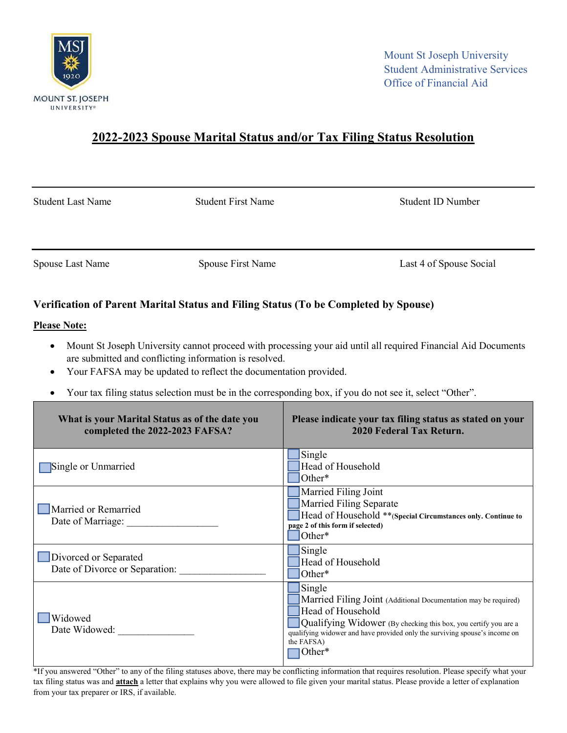

## 2022-2023 Spouse Marital Status and/or Tax Filing Status Resolution

Student Last Name Student First Name Student ID Number

Spouse Last Name Spouse First Name Last 4 of Spouse Social

## Verification of Parent Marital Status and Filing Status (To be Completed by Spouse)

## Please Note:

- Mount St Joseph University cannot proceed with processing your aid until all required Financial Aid Documents are submitted and conflicting information is resolved.
- Your FAFSA may be updated to reflect the documentation provided.
- Your tax filing status selection must be in the corresponding box, if you do not see it, select "Other".

| What is your Marital Status as of the date you<br>completed the 2022-2023 FAFSA? | Please indicate your tax filing status as stated on your<br>2020 Federal Tax Return.                                                                                                                                                                                     |
|----------------------------------------------------------------------------------|--------------------------------------------------------------------------------------------------------------------------------------------------------------------------------------------------------------------------------------------------------------------------|
| Single or Unmarried                                                              | Single<br>Head of Household<br>Other*                                                                                                                                                                                                                                    |
| Married or Remarried<br>Date of Marriage:                                        | Married Filing Joint<br>Married Filing Separate<br>Head of Household **(Special Circumstances only. Continue to<br>page 2 of this form if selected)<br>Other*                                                                                                            |
| Divorced or Separated<br>Date of Divorce or Separation:                          | Single<br>Head of Household<br>Other*                                                                                                                                                                                                                                    |
| Widowed<br>Date Widowed:                                                         | Single<br>Married Filing Joint (Additional Documentation may be required)<br>Head of Household<br>Qualifying Widower (By checking this box, you certify you are a<br>qualifying widower and have provided only the surviving spouse's income on<br>the FAFSA)<br> Other* |

\*If you answered "Other" to any of the filing statuses above, there may be conflicting information that requires resolution. Please specify what your tax filing status was and **attach** a letter that explains why you were allowed to file given your marital status. Please provide a letter of explanation from your tax preparer or IRS, if available.